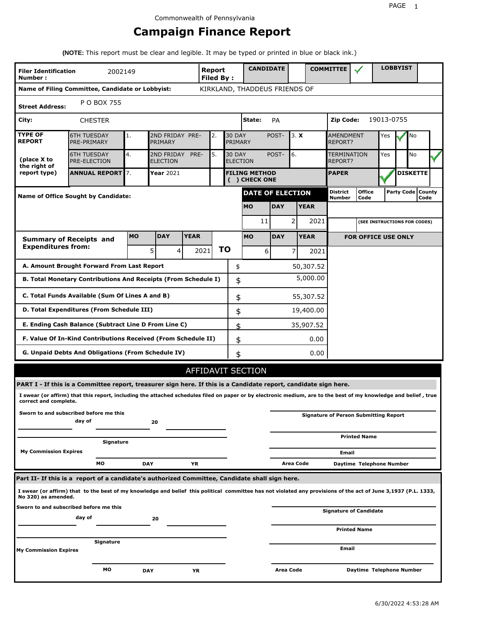# **Campaign Finance Report**

**(NOTE:** This report must be clear and legible. It may be typed or printed in blue or black ink.)

| Number:                         | Report<br><b>Filer Identification</b><br>2002149<br><b>Filed By:</b>                                                                                            |            |                                    |            |      |                                  |                                       | <b>CANDIDATE</b>           |                |             | <b>COMMITTEE</b>              |                                              |            | <b>LOBBYIST</b> |                             |  |
|---------------------------------|-----------------------------------------------------------------------------------------------------------------------------------------------------------------|------------|------------------------------------|------------|------|----------------------------------|---------------------------------------|----------------------------|----------------|-------------|-------------------------------|----------------------------------------------|------------|-----------------|-----------------------------|--|
|                                 | Name of Filing Committee, Candidate or Lobbyist:                                                                                                                |            |                                    |            |      |                                  | KIRKLAND, THADDEUS FRIENDS OF         |                            |                |             |                               |                                              |            |                 |                             |  |
| <b>Street Address:</b>          | P O BOX 755                                                                                                                                                     |            |                                    |            |      |                                  |                                       |                            |                |             |                               |                                              |            |                 |                             |  |
| City:                           | <b>CHESTER</b>                                                                                                                                                  |            |                                    |            |      |                                  | State:                                | <b>PA</b>                  |                |             | <b>Zip Code:</b>              |                                              | 19013-0755 |                 |                             |  |
| <b>TYPE OF</b><br><b>REPORT</b> | <b>6TH TUESDAY</b><br>PRE-PRIMARY                                                                                                                               | 1.         | 2ND FRIDAY PRE-<br>PRIMARY         |            | 2.   | <b>30 DAY</b><br>PRIMARY         |                                       | POST-<br>3. X              |                |             | AMENDMENT<br>REPORT?          | Yes                                          |            | No              |                             |  |
| (place X to<br>the right of     | <b>6TH TUESDAY</b><br>PRE-ELECTION                                                                                                                              | 4.         | 2ND FRIDAY PRE-<br><b>ELECTION</b> |            | 5.   | <b>30 DAY</b><br><b>ELECTION</b> |                                       | POST-<br>6.                |                |             | <b>TERMINATION</b><br>REPORT? | Yes                                          |            | No              |                             |  |
| report type)                    | <b>ANNUAL REPORT</b> 7.                                                                                                                                         |            | <b>Year</b> 2021                   |            |      |                                  | <b>FILING METHOD</b><br>( ) CHECK ONE |                            |                |             |                               |                                              |            |                 | <b>DISKETTE</b>             |  |
|                                 | <b>Name of Office Sought by Candidate:</b>                                                                                                                      |            |                                    |            |      |                                  | <b>DATE OF ELECTION</b>               |                            |                |             | <b>District</b><br>Number     | <b>Office</b><br>Code                        |            |                 | Party Code   County<br>Code |  |
|                                 |                                                                                                                                                                 |            |                                    |            |      |                                  | <b>MO</b>                             | <b>DAY</b>                 |                | <b>YEAR</b> |                               |                                              |            |                 |                             |  |
|                                 |                                                                                                                                                                 |            |                                    |            |      |                                  | 11                                    |                            | $\overline{2}$ | 2021        |                               | (SEE INSTRUCTIONS FOR CODES)                 |            |                 |                             |  |
| <b>Summary of Receipts and</b>  | <b>YEAR</b>                                                                                                                                                     |            | <b>MO</b>                          | <b>DAY</b> |      | <b>YEAR</b>                      |                                       | <b>FOR OFFICE USE ONLY</b> |                |             |                               |                                              |            |                 |                             |  |
| <b>Expenditures from:</b>       |                                                                                                                                                                 |            | 5 <sub>1</sub><br>4                |            | 2021 | <b>TO</b>                        | 6                                     |                            | 7              | 2021        |                               |                                              |            |                 |                             |  |
|                                 | A. Amount Brought Forward From Last Report                                                                                                                      |            |                                    |            |      | \$                               |                                       |                            |                | 50,307.52   |                               |                                              |            |                 |                             |  |
|                                 | B. Total Monetary Contributions And Receipts (From Schedule I)                                                                                                  |            |                                    |            |      | \$                               |                                       | 5,000.00                   |                |             |                               |                                              |            |                 |                             |  |
|                                 | C. Total Funds Available (Sum Of Lines A and B)                                                                                                                 |            |                                    |            |      | \$                               |                                       |                            |                | 55,307.52   |                               |                                              |            |                 |                             |  |
|                                 | D. Total Expenditures (From Schedule III)                                                                                                                       |            |                                    |            |      | \$                               |                                       |                            |                | 19,400.00   |                               |                                              |            |                 |                             |  |
|                                 | E. Ending Cash Balance (Subtract Line D From Line C)                                                                                                            |            |                                    |            |      | \$                               |                                       |                            |                | 35,907.52   |                               |                                              |            |                 |                             |  |
|                                 | F. Value Of In-Kind Contributions Received (From Schedule II)                                                                                                   |            |                                    |            |      | \$                               |                                       |                            |                | 0.00        |                               |                                              |            |                 |                             |  |
|                                 | G. Unpaid Debts And Obligations (From Schedule IV)                                                                                                              |            |                                    |            |      | \$                               |                                       |                            |                | 0.00        |                               |                                              |            |                 |                             |  |
|                                 |                                                                                                                                                                 |            |                                    |            |      |                                  | <b>AFFIDAVIT SECTION</b>              |                            |                |             |                               |                                              |            |                 |                             |  |
|                                 | PART I - If this is a Committee report, treasurer sign here. If this is a Candidate report, candidate sign here.                                                |            |                                    |            |      |                                  |                                       |                            |                |             |                               |                                              |            |                 |                             |  |
| correct and complete.           | I swear (or affirm) that this report, including the attached schedules filed on paper or by electronic medium, are to the best of my knowledge and belief, true |            |                                    |            |      |                                  |                                       |                            |                |             |                               |                                              |            |                 |                             |  |
|                                 | Sworn to and subscribed before me this<br>day of                                                                                                                |            | 20                                 |            |      |                                  |                                       |                            |                |             |                               | <b>Signature of Person Submitting Report</b> |            |                 |                             |  |
|                                 | Signature                                                                                                                                                       |            |                                    |            |      |                                  |                                       |                            |                |             |                               | <b>Printed Name</b>                          |            |                 |                             |  |
| <b>My Commission Expires</b>    |                                                                                                                                                                 |            |                                    |            |      |                                  |                                       |                            |                |             | Email                         |                                              |            |                 |                             |  |
|                                 | MО                                                                                                                                                              | <b>DAY</b> |                                    | YR         |      |                                  |                                       |                            | Area Code      |             |                               | Daytime Telephone Number                     |            |                 |                             |  |
|                                 | Part II- If this is a report of a candidate's authorized Committee, Candidate shall sign here.                                                                  |            |                                    |            |      |                                  |                                       |                            |                |             |                               |                                              |            |                 |                             |  |
| No 320) as amended.             | I swear (or affirm) that to the best of my knowledge and belief this political committee has not violated any provisions of the act of June 3,1937 (P.L. 1333,  |            |                                    |            |      |                                  |                                       |                            |                |             |                               |                                              |            |                 |                             |  |
|                                 | Sworn to and subscribed before me this<br>day of                                                                                                                |            | 20                                 |            |      |                                  |                                       |                            |                |             |                               | <b>Signature of Candidate</b>                |            |                 |                             |  |
|                                 |                                                                                                                                                                 |            |                                    |            |      |                                  |                                       |                            |                |             |                               | <b>Printed Name</b>                          |            |                 |                             |  |
| <b>My Commission Expires</b>    | Signature                                                                                                                                                       |            |                                    |            |      |                                  |                                       | Email                      |                |             |                               |                                              |            |                 |                             |  |
|                                 |                                                                                                                                                                 |            |                                    |            |      |                                  |                                       |                            |                |             |                               |                                              |            |                 |                             |  |
|                                 | МO                                                                                                                                                              | DAY        |                                    | ΥR         |      |                                  |                                       | Area Code                  |                |             |                               | Daytime Telephone Number                     |            |                 |                             |  |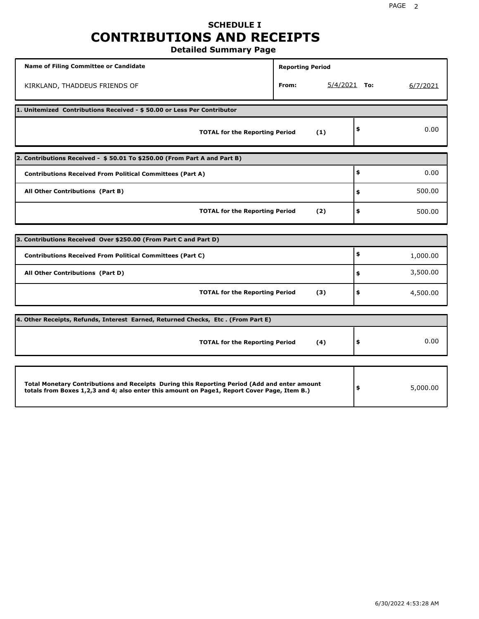## **SCHEDULE I CONTRIBUTIONS AND RECEIPTS Detailed Summary Page**

**Name of Filing Committee or Candidate Reporting Period Reporting Period** KIRKLAND, THADDEUS FRIENDS OF **From:** 5/4/2021 **To:** 6/7/2021 **1. Unitemized Contributions Received - \$ 50.00 or Less Per Contributor TOTAL for the Reporting Period (1) \$** 0.00 **2. Contributions Received - \$ 50.01 To \$250.00 (From Part A and Part B) TOTAL for the Reporting Period (2) Contributions Received From Political Committees (Part A) All Other Contributions (Part B) \$ \$ \$** 0.00 500.00 500.00 **3. Contributions Received Over \$250.00 (From Part C and Part D) TOTAL for the Reporting Period (3) Contributions Received From Political Committees (Part C) All Other Contributions (Part D) \$ \$ \$** 1,000.00 3,500.00 4,500.00 **4. Other Receipts, Refunds, Interest Earned, Returned Checks, Etc . (From Part E) TOTAL for the Reporting Period (4) \$** 0.00 **Total Monetary Contributions and Receipts During this Reporting Period (Add and enter amount totals from Boxes 1,2,3 and 4; also enter this amount on Page1, Report Cover Page, Item B.) \$** 5,000.00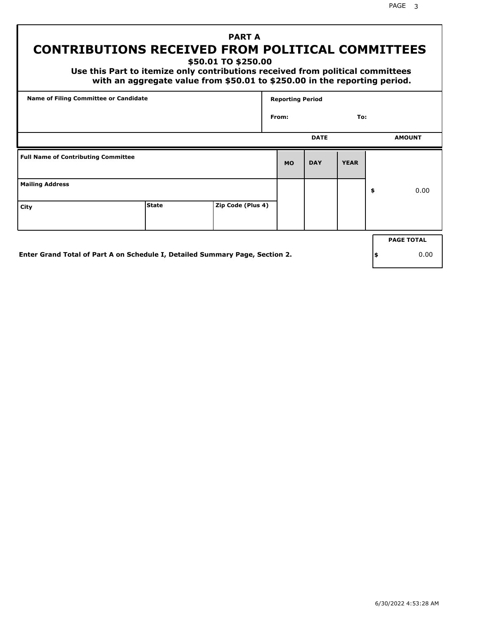# **PART A CONTRIBUTIONS RECEIVED FROM POLITICAL COMMITTEES**

**\$50.01 TO \$250.00**

 **Use this Part to itemize only contributions received from political committees with an aggregate value from \$50.01 to \$250.00 in the reporting period.**

| Name of Filing Committee or Candidate      |                                                                              |                   | <b>Reporting Period</b> |             |             |    |                   |  |
|--------------------------------------------|------------------------------------------------------------------------------|-------------------|-------------------------|-------------|-------------|----|-------------------|--|
|                                            |                                                                              |                   | From:                   |             | To:         |    |                   |  |
|                                            |                                                                              |                   |                         | <b>DATE</b> |             |    | <b>AMOUNT</b>     |  |
| <b>Full Name of Contributing Committee</b> |                                                                              |                   | <b>MO</b>               | <b>DAY</b>  | <b>YEAR</b> |    |                   |  |
| <b>Mailing Address</b>                     |                                                                              |                   |                         |             |             | \$ | 0.00              |  |
| City                                       | <b>State</b>                                                                 | Zip Code (Plus 4) |                         |             |             |    |                   |  |
|                                            |                                                                              |                   |                         |             |             |    | <b>PAGE TOTAL</b> |  |
|                                            | Enter Grand Total of Part A on Schedule I, Detailed Summary Page, Section 2. |                   |                         |             |             | \$ | 0.00              |  |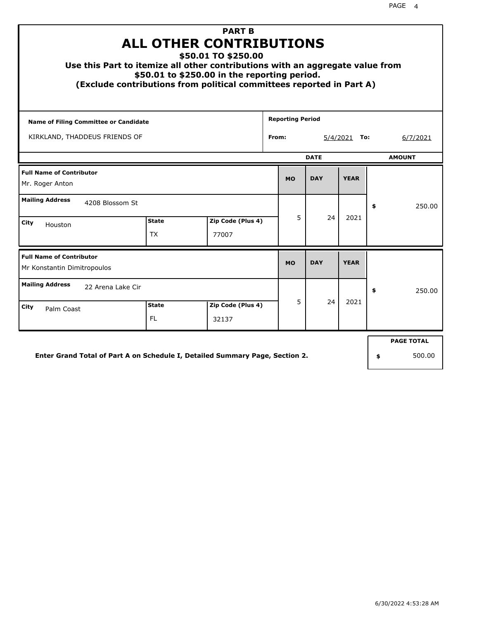| <b>PART B</b><br><b>ALL OTHER CONTRIBUTIONS</b><br>\$50.01 TO \$250.00<br>Use this Part to itemize all other contributions with an aggregate value from<br>\$50.01 to \$250.00 in the reporting period.<br>(Exclude contributions from political committees reported in Part A) |                    |                             |            |             |            |             |    |          |  |  |
|---------------------------------------------------------------------------------------------------------------------------------------------------------------------------------------------------------------------------------------------------------------------------------|--------------------|-----------------------------|------------|-------------|------------|-------------|----|----------|--|--|
| <b>Reporting Period</b><br><b>Name of Filing Committee or Candidate</b>                                                                                                                                                                                                         |                    |                             |            |             |            |             |    |          |  |  |
| KIRKLAND, THADDEUS FRIENDS OF<br>From:<br>$5/4/2021$ To:                                                                                                                                                                                                                        |                    |                             |            |             |            |             |    | 6/7/2021 |  |  |
|                                                                                                                                                                                                                                                                                 |                    | <b>AMOUNT</b>               |            |             |            |             |    |          |  |  |
| <b>Full Name of Contributor</b><br>Mr. Roger Anton                                                                                                                                                                                                                              |                    | <b>MO</b>                   | <b>DAY</b> | <b>YEAR</b> |            |             |    |          |  |  |
| <b>Mailing Address</b><br>4208 Blossom St                                                                                                                                                                                                                                       |                    |                             |            |             |            |             | \$ | 250.00   |  |  |
| City<br>Houston                                                                                                                                                                                                                                                                 | <b>State</b><br>ТX | Zip Code (Plus 4)<br>77007  |            | 5           | 24         | 2021        |    |          |  |  |
| <b>Full Name of Contributor</b><br>Mr Konstantin Dimitropoulos                                                                                                                                                                                                                  |                    |                             |            | <b>MO</b>   | <b>DAY</b> | <b>YEAR</b> |    |          |  |  |
| <b>Mailing Address</b><br>22 Arena Lake Cir                                                                                                                                                                                                                                     |                    |                             |            |             |            |             | \$ | 250.00   |  |  |
| City<br>Palm Coast                                                                                                                                                                                                                                                              | Zip Code (Plus 4)  | 5.                          | 24         | 2021        |            |             |    |          |  |  |
| Enter Grand Total of Part A on Schedule I, Detailed Summary Page, Section 2.                                                                                                                                                                                                    | \$                 | <b>PAGE TOTAL</b><br>500.00 |            |             |            |             |    |          |  |  |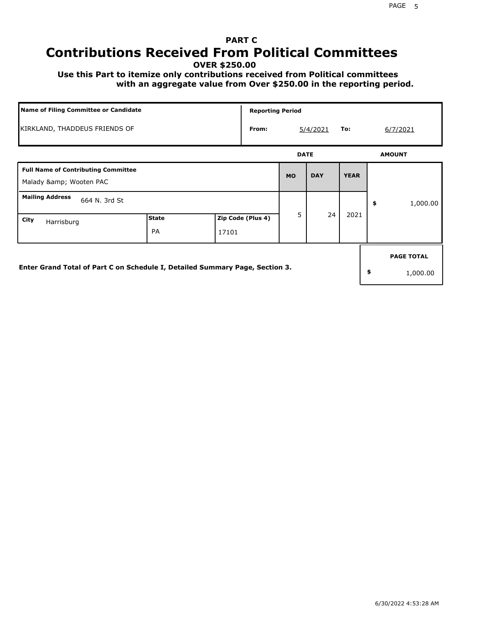#### PAGE 5

# **PART C Contributions Received From Political Committees**

**OVER \$250.00**

 **Use this Part to itemize only contributions received from Political committees with an aggregate value from Over \$250.00 in the reporting period.**

|                                                                              | Name of Filing Committee or Candidate |       |                   |             | <b>Reporting Period</b> |                 |    |                               |  |  |  |
|------------------------------------------------------------------------------|---------------------------------------|-------|-------------------|-------------|-------------------------|-----------------|----|-------------------------------|--|--|--|
|                                                                              | KIRKLAND, THADDEUS FRIENDS OF         |       |                   |             | 5/4/2021                | 6/7/2021<br>To: |    |                               |  |  |  |
|                                                                              |                                       |       |                   | <b>DATE</b> |                         |                 |    | <b>AMOUNT</b>                 |  |  |  |
| <b>Full Name of Contributing Committee</b><br>Malady & Wooten PAC            |                                       |       |                   | <b>MO</b>   | <b>DAY</b>              | <b>YEAR</b>     |    |                               |  |  |  |
| <b>Mailing Address</b><br>664 N. 3rd St                                      |                                       |       |                   |             |                         |                 | \$ | 1,000.00                      |  |  |  |
| City<br>Harrisburg                                                           | <b>State</b><br><b>PA</b>             | 17101 | Zip Code (Plus 4) | 5           | 24                      | 2021            |    |                               |  |  |  |
| Enter Grand Total of Part C on Schedule I, Detailed Summary Page, Section 3. |                                       |       |                   |             |                         |                 | \$ | <b>PAGE TOTAL</b><br>1,000.00 |  |  |  |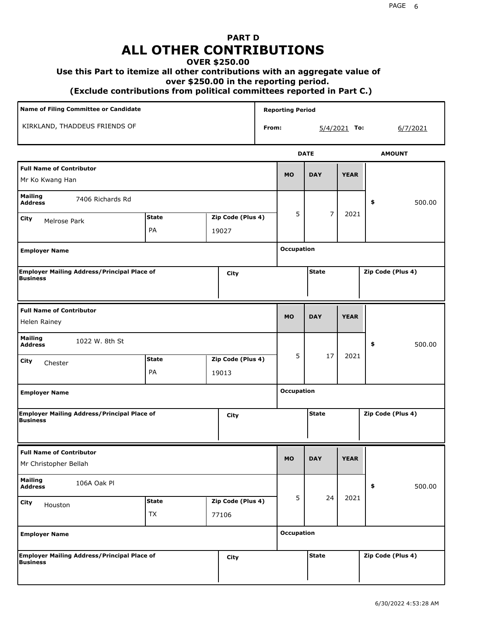## **PART D ALL OTHER CONTRIBUTIONS**

### **OVER \$250.00**

### **Use this Part to itemize all other contributions with an aggregate value of**

 **over \$250.00 in the reporting period.**

 **(Exclude contributions from political committees reported in Part C.)** 

| Name of Filing Committee or Candidate                                          |                    |                            |                   |       | <b>Reporting Period</b> |                   |                |                   |
|--------------------------------------------------------------------------------|--------------------|----------------------------|-------------------|-------|-------------------------|-------------------|----------------|-------------------|
| KIRKLAND, THADDEUS FRIENDS OF                                                  |                    |                            |                   | From: |                         |                   | $5/4/2021$ To: | 6/7/2021          |
|                                                                                |                    |                            |                   |       |                         | <b>DATE</b>       |                | <b>AMOUNT</b>     |
| <b>Full Name of Contributor</b><br>Mr Ko Kwang Han                             |                    |                            |                   |       | <b>MO</b>               | <b>DAY</b>        | <b>YEAR</b>    |                   |
| <b>Mailing</b><br>7406 Richards Rd<br><b>Address</b>                           |                    |                            |                   |       |                         |                   |                | \$<br>500.00      |
| City<br>Melrose Park                                                           | <b>State</b><br>PA | Zip Code (Plus 4)<br>19027 |                   |       | 5                       | $\overline{7}$    | 2021           |                   |
| <b>Employer Name</b>                                                           |                    |                            |                   |       |                         | <b>Occupation</b> |                |                   |
| Employer Mailing Address/Principal Place of<br>Business<br>City                |                    |                            |                   |       |                         | <b>State</b>      |                | Zip Code (Plus 4) |
| <b>Full Name of Contributor</b><br>Helen Rainey                                |                    |                            |                   |       | <b>MO</b>               | <b>DAY</b>        | <b>YEAR</b>    |                   |
| <b>Mailing</b><br>1022 W. 8th St<br><b>Address</b>                             |                    |                            |                   |       |                         |                   |                | \$<br>500.00      |
| City<br>Chester                                                                | <b>State</b><br>PA | 19013                      | Zip Code (Plus 4) |       | 5                       | 17                | 2021           |                   |
| <b>Employer Name</b>                                                           |                    |                            |                   |       | <b>Occupation</b>       |                   |                |                   |
| <b>Employer Mailing Address/Principal Place of</b><br><b>Business</b>          |                    |                            | City              |       |                         | <b>State</b>      |                | Zip Code (Plus 4) |
| <b>Full Name of Contributor</b><br>Mr Christopher Bellah                       |                    |                            |                   |       | <b>MO</b>               | <b>DAY</b>        | <b>YEAR</b>    |                   |
| <b>Mailing</b><br>106A Oak Pl<br><b>Address</b>                                |                    |                            |                   |       |                         |                   |                | \$<br>500.00      |
| <b>State</b><br>Zip Code (Plus 4)<br>City<br>Houston<br>TX<br>77106            |                    |                            |                   |       | 5                       | 24                | 2021           |                   |
| <b>Employer Name</b>                                                           |                    |                            |                   |       | <b>Occupation</b>       |                   |                |                   |
| <b>Employer Mailing Address/Principal Place of<br/>Business</b><br><b>City</b> |                    |                            |                   |       |                         | <b>State</b>      |                | Zip Code (Plus 4) |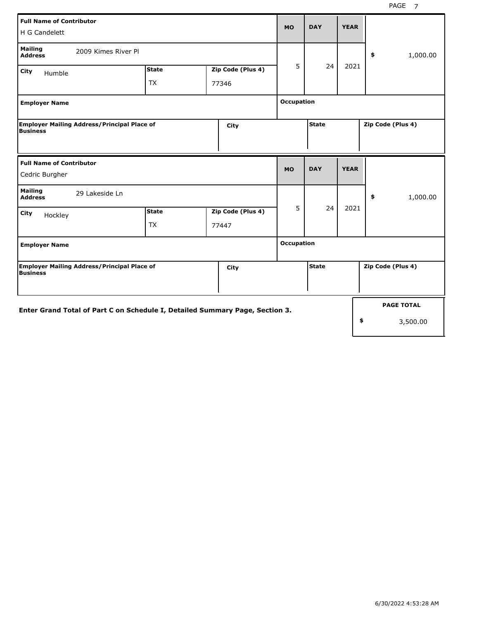| <b>Full Name of Contributor</b><br>H G Candelett                              |                                                                              |  |                   |                   |              | <b>YEAR</b> |                   |
|-------------------------------------------------------------------------------|------------------------------------------------------------------------------|--|-------------------|-------------------|--------------|-------------|-------------------|
| <b>Mailing</b><br><b>Address</b>                                              | 2009 Kimes River Pl                                                          |  |                   |                   |              |             | 1,000.00<br>\$    |
| City<br>Humble                                                                | <b>State</b>                                                                 |  | Zip Code (Plus 4) | 5                 | 24           | 2021        |                   |
|                                                                               | <b>TX</b>                                                                    |  | 77346             |                   |              |             |                   |
| <b>Employer Name</b>                                                          | <b>Occupation</b>                                                            |  |                   |                   |              |             |                   |
| <b>Employer Mailing Address/Principal Place of</b><br>City<br><b>Business</b> |                                                                              |  |                   |                   | <b>State</b> |             | Zip Code (Plus 4) |
|                                                                               |                                                                              |  |                   |                   |              |             |                   |
| <b>Full Name of Contributor</b>                                               |                                                                              |  |                   | <b>MO</b>         | <b>DAY</b>   | <b>YEAR</b> |                   |
| Cedric Burgher                                                                |                                                                              |  |                   |                   |              |             |                   |
| <b>Mailing</b><br>29 Lakeside Ln<br><b>Address</b>                            |                                                                              |  |                   |                   |              |             | \$<br>1,000.00    |
| City<br>Hockley                                                               | <b>State</b>                                                                 |  | Zip Code (Plus 4) | 5                 | 24           | 2021        |                   |
|                                                                               | TX                                                                           |  | 77447             |                   |              |             |                   |
| <b>Employer Name</b>                                                          |                                                                              |  |                   | <b>Occupation</b> |              |             |                   |
| <b>Employer Mailing Address/Principal Place of</b><br>Business                |                                                                              |  | City              |                   | <b>State</b> |             | Zip Code (Plus 4) |
|                                                                               |                                                                              |  |                   |                   |              |             |                   |
|                                                                               | Enter Grand Total of Part C on Schedule I, Detailed Summary Page, Section 3. |  |                   |                   |              |             | <b>PAGE TOTAL</b> |
|                                                                               |                                                                              |  |                   |                   |              |             | \$<br>3,500.00    |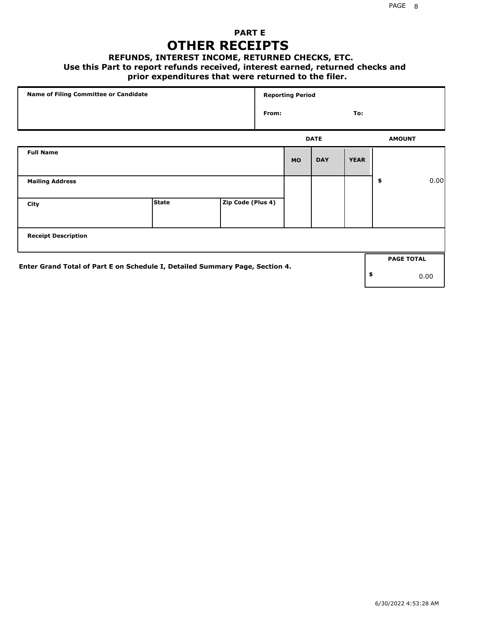## **PART E OTHER RECEIPTS**

#### **REFUNDS, INTEREST INCOME, RETURNED CHECKS, ETC.**

#### **Use this Part to report refunds received, interest earned, returned checks and**

## **prior expenditures that were returned to the filer.**

|                                                                              | Name of Filing Committee or Candidate |                   |       | <b>Reporting Period</b> |             |             |                   |      |  |  |  |
|------------------------------------------------------------------------------|---------------------------------------|-------------------|-------|-------------------------|-------------|-------------|-------------------|------|--|--|--|
|                                                                              |                                       |                   | From: |                         |             | To:         |                   |      |  |  |  |
|                                                                              |                                       |                   |       |                         | <b>DATE</b> |             | <b>AMOUNT</b>     |      |  |  |  |
| <b>Full Name</b>                                                             |                                       |                   |       | <b>MO</b>               | <b>DAY</b>  | <b>YEAR</b> |                   |      |  |  |  |
| <b>Mailing Address</b>                                                       |                                       |                   |       |                         |             |             | \$                | 0.00 |  |  |  |
| City                                                                         | <b>State</b>                          | Zip Code (Plus 4) |       |                         |             |             |                   |      |  |  |  |
| <b>Receipt Description</b>                                                   |                                       |                   |       |                         |             |             |                   |      |  |  |  |
| Enter Grand Total of Part E on Schedule I, Detailed Summary Page, Section 4. |                                       |                   |       |                         |             |             | <b>PAGE TOTAL</b> |      |  |  |  |
|                                                                              |                                       |                   |       |                         |             |             | \$<br>0.00        |      |  |  |  |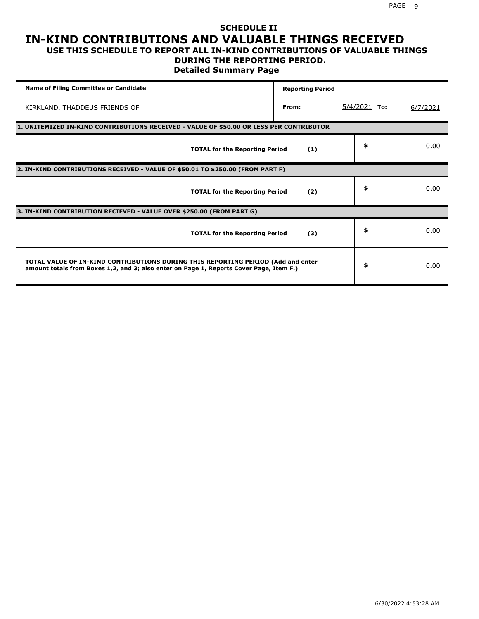### **SCHEDULE II IN-KIND CONTRIBUTIONS AND VALUABLE THINGS RECEIVED USE THIS SCHEDULE TO REPORT ALL IN-KIND CONTRIBUTIONS OF VALUABLE THINGS**

## **DURING THE REPORTING PERIOD.**

**Detailed Summary Page**

| <b>Name of Filing Committee or Candidate</b>                                                                                                                                | <b>Reporting Period</b> |                |          |
|-----------------------------------------------------------------------------------------------------------------------------------------------------------------------------|-------------------------|----------------|----------|
| KIRKLAND, THADDEUS FRIENDS OF                                                                                                                                               | From:                   | $5/4/2021$ To: | 6/7/2021 |
| 1. UNITEMIZED IN-KIND CONTRIBUTIONS RECEIVED - VALUE OF \$50.00 OR LESS PER CONTRIBUTOR                                                                                     |                         |                |          |
| <b>TOTAL for the Reporting Period</b>                                                                                                                                       | (1)                     | \$             | 0.00     |
| 2. IN-KIND CONTRIBUTIONS RECEIVED - VALUE OF \$50.01 TO \$250.00 (FROM PART F)                                                                                              |                         |                |          |
| <b>TOTAL for the Reporting Period</b>                                                                                                                                       | (2)                     | \$             | 0.00     |
| 3. IN-KIND CONTRIBUTION RECIEVED - VALUE OVER \$250.00 (FROM PART G)                                                                                                        |                         |                |          |
| <b>TOTAL for the Reporting Period</b>                                                                                                                                       | (3)                     | \$             | 0.00     |
| TOTAL VALUE OF IN-KIND CONTRIBUTIONS DURING THIS REPORTING PERIOD (Add and enter<br>amount totals from Boxes 1,2, and 3; also enter on Page 1, Reports Cover Page, Item F.) |                         | \$             | 0.00     |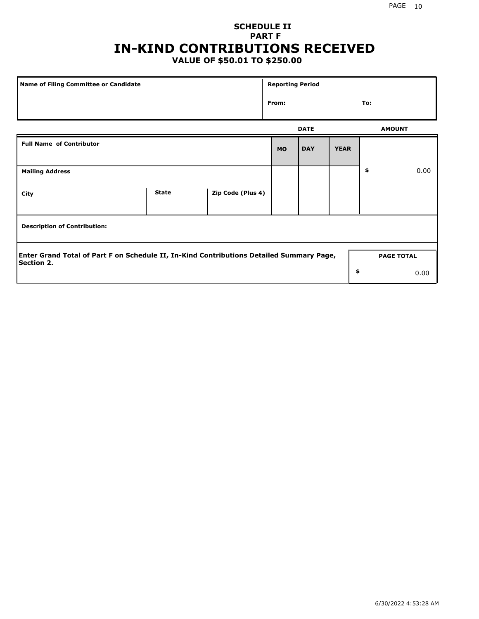## **SCHEDULE II PART F IN-KIND CONTRIBUTIONS RECEIVED**

## **VALUE OF \$50.01 TO \$250.00**

| Name of Filing Committee or Candidate                                                                         |              |                   |           | <b>Reporting Period</b> |                   |  |               |  |  |
|---------------------------------------------------------------------------------------------------------------|--------------|-------------------|-----------|-------------------------|-------------------|--|---------------|--|--|
|                                                                                                               |              |                   |           |                         | From:<br>To:      |  |               |  |  |
|                                                                                                               |              |                   |           | <b>DATE</b>             |                   |  | <b>AMOUNT</b> |  |  |
| <b>Full Name of Contributor</b>                                                                               |              |                   | <b>MO</b> | <b>DAY</b>              | <b>YEAR</b>       |  |               |  |  |
| <b>Mailing Address</b>                                                                                        |              |                   |           | \$                      | 0.00              |  |               |  |  |
| City                                                                                                          | <b>State</b> | Zip Code (Plus 4) |           |                         |                   |  |               |  |  |
| <b>Description of Contribution:</b>                                                                           |              |                   |           |                         |                   |  |               |  |  |
| Enter Grand Total of Part F on Schedule II, In-Kind Contributions Detailed Summary Page,<br><b>Section 2.</b> |              |                   |           |                         | <b>PAGE TOTAL</b> |  |               |  |  |
|                                                                                                               |              |                   |           |                         | \$                |  | 0.00          |  |  |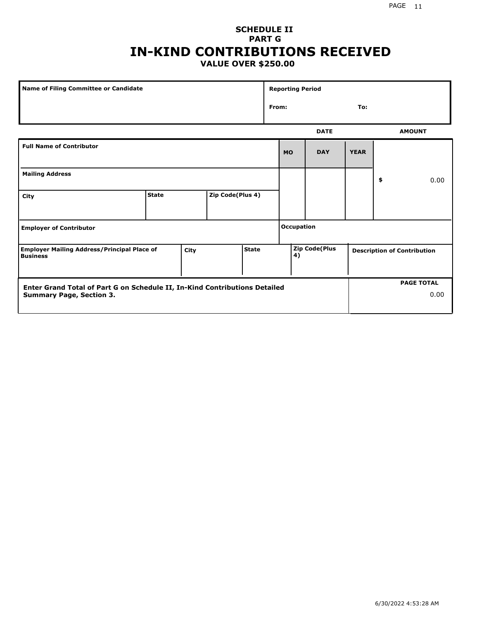#### PAGE 11

### **SCHEDULE II PART G IN-KIND CONTRIBUTIONS RECEIVED VALUE OVER \$250.00**

|                                                                                                               | <b>Name of Filing Committee or Candidate</b> |  |                  |  |       | <b>Reporting Period</b> |                      |             |    |                                    |      |  |
|---------------------------------------------------------------------------------------------------------------|----------------------------------------------|--|------------------|--|-------|-------------------------|----------------------|-------------|----|------------------------------------|------|--|
|                                                                                                               |                                              |  |                  |  | From: |                         |                      | To:         |    |                                    |      |  |
|                                                                                                               |                                              |  |                  |  |       |                         | <b>DATE</b>          |             |    | <b>AMOUNT</b>                      |      |  |
| <b>Full Name of Contributor</b>                                                                               |                                              |  |                  |  |       | <b>MO</b>               | <b>DAY</b>           | <b>YEAR</b> |    |                                    |      |  |
| <b>Mailing Address</b>                                                                                        |                                              |  |                  |  |       |                         |                      |             | \$ |                                    | 0.00 |  |
| City                                                                                                          | <b>State</b>                                 |  | Zip Code(Plus 4) |  |       |                         |                      |             |    |                                    |      |  |
| <b>Employer of Contributor</b>                                                                                |                                              |  |                  |  |       | <b>Occupation</b>       |                      |             |    |                                    |      |  |
| <b>Employer Mailing Address/Principal Place of</b><br><b>State</b><br>City<br><b>Business</b>                 |                                              |  |                  |  |       | 4)                      | <b>Zip Code(Plus</b> |             |    | <b>Description of Contribution</b> |      |  |
| Enter Grand Total of Part G on Schedule II, In-Kind Contributions Detailed<br><b>Summary Page, Section 3.</b> |                                              |  |                  |  |       |                         |                      |             |    | <b>PAGE TOTAL</b>                  | 0.00 |  |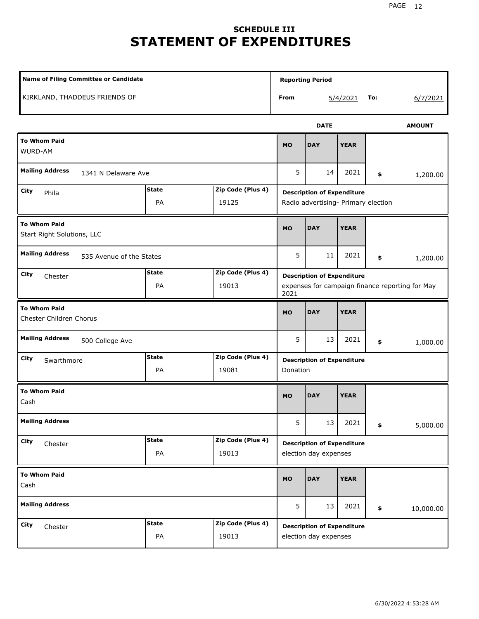# **SCHEDULE III STATEMENT OF EXPENDITURES**

| <b>Name of Filing Committee or Candidate</b>                        |                                                                                              |                                                            |                                               | <b>Reporting Period</b>                                                  |             |     |               |  |
|---------------------------------------------------------------------|----------------------------------------------------------------------------------------------|------------------------------------------------------------|-----------------------------------------------|--------------------------------------------------------------------------|-------------|-----|---------------|--|
| KIRKLAND, THADDEUS FRIENDS OF                                       |                                                                                              |                                                            | From                                          |                                                                          | 5/4/2021    | To: | 6/7/2021      |  |
|                                                                     |                                                                                              |                                                            |                                               | <b>DATE</b>                                                              |             |     | <b>AMOUNT</b> |  |
| <b>To Whom Paid</b><br>WURD-AM                                      |                                                                                              |                                                            | <b>MO</b>                                     | <b>DAY</b>                                                               | <b>YEAR</b> |     |               |  |
| <b>Mailing Address</b><br>1341 N Delaware Ave                       |                                                                                              |                                                            | 5                                             | 14                                                                       | 2021        | \$  | 1,200.00      |  |
| City<br>Phila                                                       | <b>State</b><br>PA                                                                           | Zip Code (Plus 4)<br>19125                                 |                                               | <b>Description of Expenditure</b><br>Radio advertising- Primary election |             |     |               |  |
| <b>To Whom Paid</b><br>Start Right Solutions, LLC                   | <b>MO</b>                                                                                    | <b>DAY</b>                                                 | <b>YEAR</b>                                   |                                                                          |             |     |               |  |
| <b>Mailing Address</b><br>535 Avenue of the States                  | 5                                                                                            | 11                                                         | 2021                                          | \$                                                                       | 1,200.00    |     |               |  |
| City<br>Chester                                                     | <b>Description of Expenditure</b><br>expenses for campaign finance reporting for May<br>2021 |                                                            |                                               |                                                                          |             |     |               |  |
| <b>To Whom Paid</b><br>Chester Children Chorus                      |                                                                                              |                                                            | <b>MO</b>                                     | <b>DAY</b>                                                               | <b>YEAR</b> |     |               |  |
| <b>Mailing Address</b><br>500 College Ave                           |                                                                                              |                                                            | 5                                             | 13                                                                       | 2021        | \$  | 1,000.00      |  |
| City<br>Swarthmore                                                  | <b>State</b><br>PA                                                                           | Zip Code (Plus 4)<br>19081                                 | <b>Description of Expenditure</b><br>Donation |                                                                          |             |     |               |  |
| <b>To Whom Paid</b><br>Cash                                         |                                                                                              |                                                            | <b>MO</b>                                     | <b>DAY</b>                                                               | <b>YEAR</b> |     |               |  |
| <b>Mailing Address</b>                                              |                                                                                              |                                                            | 5                                             | 13                                                                       | 2021        | \$  | 5,000.00      |  |
| City<br>Chester                                                     |                                                                                              | <b>Description of Expenditure</b><br>election day expenses |                                               |                                                                          |             |     |               |  |
| <b>To Whom Paid</b><br>Cash                                         |                                                                                              |                                                            |                                               | <b>DAY</b>                                                               | <b>YEAR</b> |     |               |  |
| <b>Mailing Address</b>                                              |                                                                                              |                                                            | 5                                             | 13                                                                       | 2021        | \$  | 10,000.00     |  |
| Zip Code (Plus 4)<br><b>State</b><br>City<br>Chester<br>PA<br>19013 |                                                                                              |                                                            |                                               | <b>Description of Expenditure</b><br>election day expenses               |             |     |               |  |